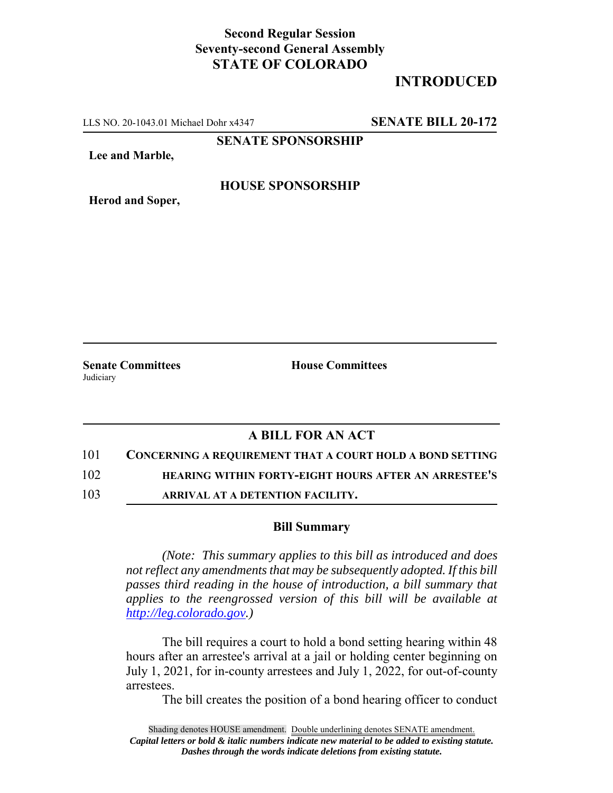## **Second Regular Session Seventy-second General Assembly STATE OF COLORADO**

# **INTRODUCED**

LLS NO. 20-1043.01 Michael Dohr x4347 **SENATE BILL 20-172**

**SENATE SPONSORSHIP**

**Lee and Marble,**

### **HOUSE SPONSORSHIP**

**Herod and Soper,**

Judiciary

**Senate Committees House Committees** 

### **A BILL FOR AN ACT**

101 **CONCERNING A REQUIREMENT THAT A COURT HOLD A BOND SETTING**

102 **HEARING WITHIN FORTY-EIGHT HOURS AFTER AN ARRESTEE'S**

103 **ARRIVAL AT A DETENTION FACILITY.**

#### **Bill Summary**

*(Note: This summary applies to this bill as introduced and does not reflect any amendments that may be subsequently adopted. If this bill passes third reading in the house of introduction, a bill summary that applies to the reengrossed version of this bill will be available at http://leg.colorado.gov.)*

The bill requires a court to hold a bond setting hearing within 48 hours after an arrestee's arrival at a jail or holding center beginning on July 1, 2021, for in-county arrestees and July 1, 2022, for out-of-county arrestees.

The bill creates the position of a bond hearing officer to conduct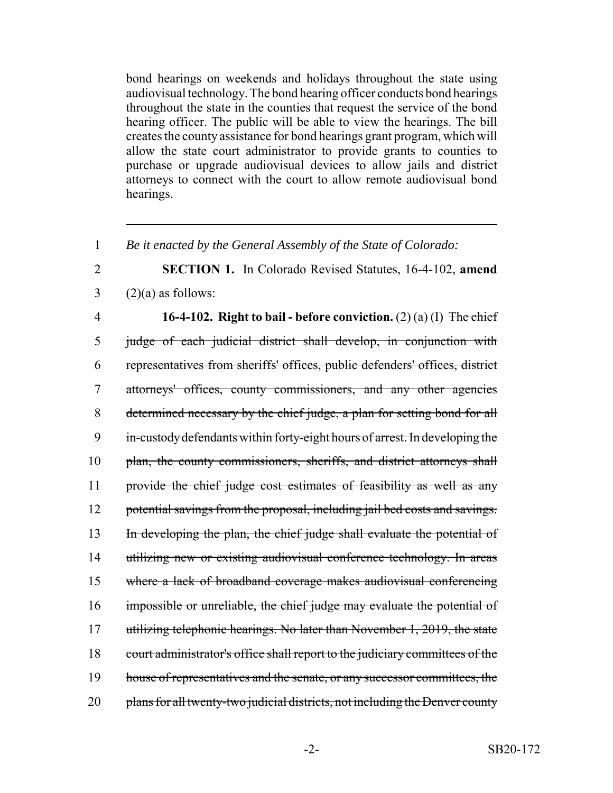bond hearings on weekends and holidays throughout the state using audiovisual technology. The bond hearing officer conducts bond hearings throughout the state in the counties that request the service of the bond hearing officer. The public will be able to view the hearings. The bill creates the county assistance for bond hearings grant program, which will allow the state court administrator to provide grants to counties to purchase or upgrade audiovisual devices to allow jails and district attorneys to connect with the court to allow remote audiovisual bond hearings.

1 *Be it enacted by the General Assembly of the State of Colorado:*

2 **SECTION 1.** In Colorado Revised Statutes, 16-4-102, **amend**  $3 \qquad (2)(a)$  as follows:

4 **16-4-102. Right to bail - before conviction.** (2) (a) (I) The chief 5 judge of each judicial district shall develop, in conjunction with 6 representatives from sheriffs' offices, public defenders' offices, district 7 attorneys' offices, county commissioners, and any other agencies 8 determined necessary by the chief judge, a plan for setting bond for all 9 in-custody defendants within forty-eight hours of arrest. In developing the 10 plan, the county commissioners, sheriffs, and district attorneys shall 11 provide the chief judge cost estimates of feasibility as well as any 12 potential savings from the proposal, including jail bed costs and savings. 13 In developing the plan, the chief judge shall evaluate the potential of 14 utilizing new or existing audiovisual conference technology. In areas 15 where a lack of broadband coverage makes audiovisual conferencing 16 impossible or unreliable, the chief judge may evaluate the potential of 17 utilizing telephonic hearings. No later than November 1, 2019, the state 18 court administrator's office shall report to the judiciary committees of the 19 house of representatives and the senate, or any successor committees, the 20 plans for all twenty-two judicial districts, not including the Denver county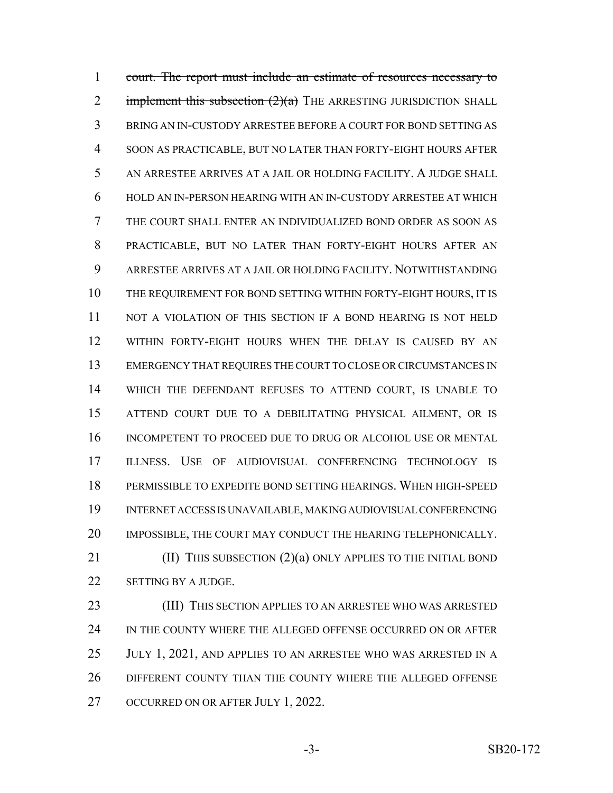court. The report must include an estimate of resources necessary to 2 implement this subsection  $(2)(a)$  THE ARRESTING JURISDICTION SHALL BRING AN IN-CUSTODY ARRESTEE BEFORE A COURT FOR BOND SETTING AS SOON AS PRACTICABLE, BUT NO LATER THAN FORTY-EIGHT HOURS AFTER AN ARRESTEE ARRIVES AT A JAIL OR HOLDING FACILITY. A JUDGE SHALL HOLD AN IN-PERSON HEARING WITH AN IN-CUSTODY ARRESTEE AT WHICH THE COURT SHALL ENTER AN INDIVIDUALIZED BOND ORDER AS SOON AS PRACTICABLE, BUT NO LATER THAN FORTY-EIGHT HOURS AFTER AN ARRESTEE ARRIVES AT A JAIL OR HOLDING FACILITY. NOTWITHSTANDING THE REQUIREMENT FOR BOND SETTING WITHIN FORTY-EIGHT HOURS, IT IS NOT A VIOLATION OF THIS SECTION IF A BOND HEARING IS NOT HELD WITHIN FORTY-EIGHT HOURS WHEN THE DELAY IS CAUSED BY AN EMERGENCY THAT REQUIRES THE COURT TO CLOSE OR CIRCUMSTANCES IN WHICH THE DEFENDANT REFUSES TO ATTEND COURT, IS UNABLE TO ATTEND COURT DUE TO A DEBILITATING PHYSICAL AILMENT, OR IS INCOMPETENT TO PROCEED DUE TO DRUG OR ALCOHOL USE OR MENTAL ILLNESS. USE OF AUDIOVISUAL CONFERENCING TECHNOLOGY IS PERMISSIBLE TO EXPEDITE BOND SETTING HEARINGS. WHEN HIGH-SPEED INTERNET ACCESS IS UNAVAILABLE, MAKING AUDIOVISUAL CONFERENCING IMPOSSIBLE, THE COURT MAY CONDUCT THE HEARING TELEPHONICALLY. **(II) THIS SUBSECTION (2)(a) ONLY APPLIES TO THE INITIAL BOND** 

SETTING BY A JUDGE.

 (III) THIS SECTION APPLIES TO AN ARRESTEE WHO WAS ARRESTED 24 IN THE COUNTY WHERE THE ALLEGED OFFENSE OCCURRED ON OR AFTER 25 JULY 1, 2021, AND APPLIES TO AN ARRESTEE WHO WAS ARRESTED IN A DIFFERENT COUNTY THAN THE COUNTY WHERE THE ALLEGED OFFENSE 27 OCCURRED ON OR AFTER JULY 1, 2022.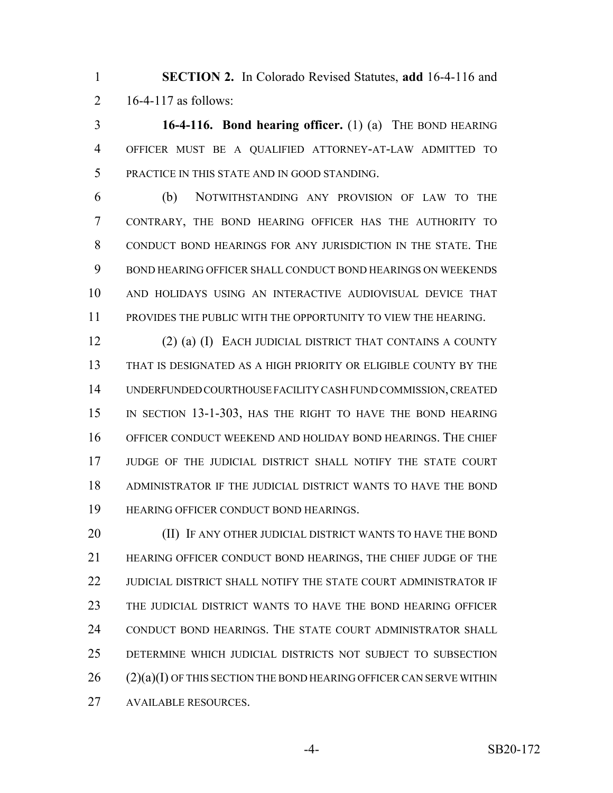**SECTION 2.** In Colorado Revised Statutes, **add** 16-4-116 and 16-4-117 as follows:

 **16-4-116. Bond hearing officer.** (1) (a) THE BOND HEARING OFFICER MUST BE A QUALIFIED ATTORNEY-AT-LAW ADMITTED TO PRACTICE IN THIS STATE AND IN GOOD STANDING.

 (b) NOTWITHSTANDING ANY PROVISION OF LAW TO THE CONTRARY, THE BOND HEARING OFFICER HAS THE AUTHORITY TO CONDUCT BOND HEARINGS FOR ANY JURISDICTION IN THE STATE. THE BOND HEARING OFFICER SHALL CONDUCT BOND HEARINGS ON WEEKENDS AND HOLIDAYS USING AN INTERACTIVE AUDIOVISUAL DEVICE THAT PROVIDES THE PUBLIC WITH THE OPPORTUNITY TO VIEW THE HEARING.

 (2) (a) (I) EACH JUDICIAL DISTRICT THAT CONTAINS A COUNTY THAT IS DESIGNATED AS A HIGH PRIORITY OR ELIGIBLE COUNTY BY THE UNDERFUNDED COURTHOUSE FACILITY CASH FUND COMMISSION, CREATED IN SECTION 13-1-303, HAS THE RIGHT TO HAVE THE BOND HEARING OFFICER CONDUCT WEEKEND AND HOLIDAY BOND HEARINGS. THE CHIEF JUDGE OF THE JUDICIAL DISTRICT SHALL NOTIFY THE STATE COURT ADMINISTRATOR IF THE JUDICIAL DISTRICT WANTS TO HAVE THE BOND HEARING OFFICER CONDUCT BOND HEARINGS.

**(II) IF ANY OTHER JUDICIAL DISTRICT WANTS TO HAVE THE BOND**  HEARING OFFICER CONDUCT BOND HEARINGS, THE CHIEF JUDGE OF THE JUDICIAL DISTRICT SHALL NOTIFY THE STATE COURT ADMINISTRATOR IF THE JUDICIAL DISTRICT WANTS TO HAVE THE BOND HEARING OFFICER CONDUCT BOND HEARINGS. THE STATE COURT ADMINISTRATOR SHALL DETERMINE WHICH JUDICIAL DISTRICTS NOT SUBJECT TO SUBSECTION (2)(a)(I) OF THIS SECTION THE BOND HEARING OFFICER CAN SERVE WITHIN AVAILABLE RESOURCES.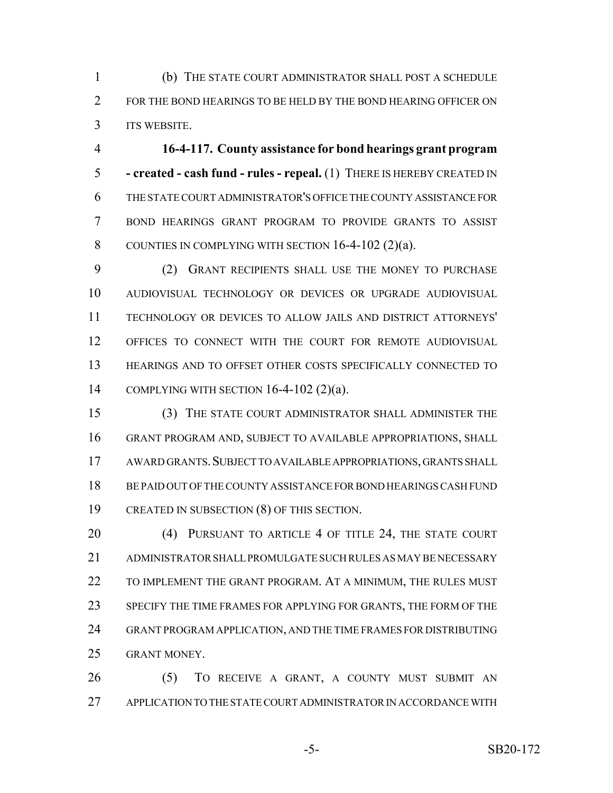(b) THE STATE COURT ADMINISTRATOR SHALL POST A SCHEDULE 2 FOR THE BOND HEARINGS TO BE HELD BY THE BOND HEARING OFFICER ON ITS WEBSITE.

 **16-4-117. County assistance for bond hearings grant program - created - cash fund - rules - repeal.** (1) THERE IS HEREBY CREATED IN THE STATE COURT ADMINISTRATOR'S OFFICE THE COUNTY ASSISTANCE FOR BOND HEARINGS GRANT PROGRAM TO PROVIDE GRANTS TO ASSIST COUNTIES IN COMPLYING WITH SECTION 16-4-102 (2)(a).

 (2) GRANT RECIPIENTS SHALL USE THE MONEY TO PURCHASE AUDIOVISUAL TECHNOLOGY OR DEVICES OR UPGRADE AUDIOVISUAL TECHNOLOGY OR DEVICES TO ALLOW JAILS AND DISTRICT ATTORNEYS' OFFICES TO CONNECT WITH THE COURT FOR REMOTE AUDIOVISUAL HEARINGS AND TO OFFSET OTHER COSTS SPECIFICALLY CONNECTED TO COMPLYING WITH SECTION 16-4-102 (2)(a).

 (3) THE STATE COURT ADMINISTRATOR SHALL ADMINISTER THE GRANT PROGRAM AND, SUBJECT TO AVAILABLE APPROPRIATIONS, SHALL AWARD GRANTS.SUBJECT TO AVAILABLE APPROPRIATIONS, GRANTS SHALL BE PAID OUT OF THE COUNTY ASSISTANCE FOR BOND HEARINGS CASH FUND CREATED IN SUBSECTION (8) OF THIS SECTION.

20 (4) PURSUANT TO ARTICLE 4 OF TITLE 24, THE STATE COURT ADMINISTRATOR SHALL PROMULGATE SUCH RULES AS MAY BE NECESSARY 22 TO IMPLEMENT THE GRANT PROGRAM. AT A MINIMUM, THE RULES MUST SPECIFY THE TIME FRAMES FOR APPLYING FOR GRANTS, THE FORM OF THE GRANT PROGRAM APPLICATION, AND THE TIME FRAMES FOR DISTRIBUTING GRANT MONEY.

 (5) TO RECEIVE A GRANT, A COUNTY MUST SUBMIT AN APPLICATION TO THE STATE COURT ADMINISTRATOR IN ACCORDANCE WITH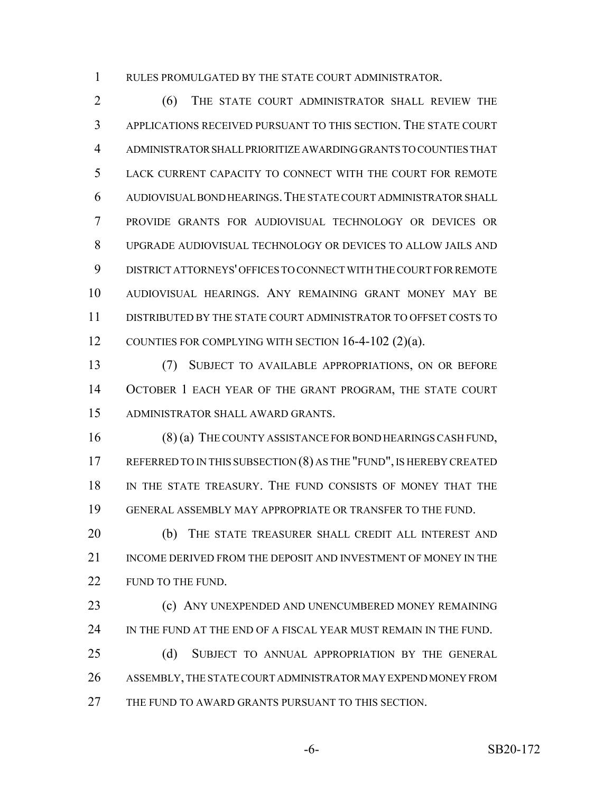RULES PROMULGATED BY THE STATE COURT ADMINISTRATOR.

 (6) THE STATE COURT ADMINISTRATOR SHALL REVIEW THE APPLICATIONS RECEIVED PURSUANT TO THIS SECTION. THE STATE COURT ADMINISTRATOR SHALL PRIORITIZE AWARDING GRANTS TO COUNTIES THAT LACK CURRENT CAPACITY TO CONNECT WITH THE COURT FOR REMOTE AUDIOVISUAL BOND HEARINGS.THE STATE COURT ADMINISTRATOR SHALL PROVIDE GRANTS FOR AUDIOVISUAL TECHNOLOGY OR DEVICES OR UPGRADE AUDIOVISUAL TECHNOLOGY OR DEVICES TO ALLOW JAILS AND DISTRICT ATTORNEYS' OFFICES TO CONNECT WITH THE COURT FOR REMOTE AUDIOVISUAL HEARINGS. ANY REMAINING GRANT MONEY MAY BE DISTRIBUTED BY THE STATE COURT ADMINISTRATOR TO OFFSET COSTS TO 12 COUNTIES FOR COMPLYING WITH SECTION 16-4-102 (2)(a).

 (7) SUBJECT TO AVAILABLE APPROPRIATIONS, ON OR BEFORE OCTOBER 1 EACH YEAR OF THE GRANT PROGRAM, THE STATE COURT ADMINISTRATOR SHALL AWARD GRANTS.

 (8) (a) THE COUNTY ASSISTANCE FOR BOND HEARINGS CASH FUND, 17 REFERRED TO IN THIS SUBSECTION (8) AS THE "FUND", IS HEREBY CREATED IN THE STATE TREASURY. THE FUND CONSISTS OF MONEY THAT THE GENERAL ASSEMBLY MAY APPROPRIATE OR TRANSFER TO THE FUND.

20 (b) THE STATE TREASURER SHALL CREDIT ALL INTEREST AND INCOME DERIVED FROM THE DEPOSIT AND INVESTMENT OF MONEY IN THE 22 FUND TO THE FUND.

**(c) ANY UNEXPENDED AND UNENCUMBERED MONEY REMAINING** 24 IN THE FUND AT THE END OF A FISCAL YEAR MUST REMAIN IN THE FUND.

 (d) SUBJECT TO ANNUAL APPROPRIATION BY THE GENERAL ASSEMBLY, THE STATE COURT ADMINISTRATOR MAY EXPEND MONEY FROM 27 THE FUND TO AWARD GRANTS PURSUANT TO THIS SECTION.